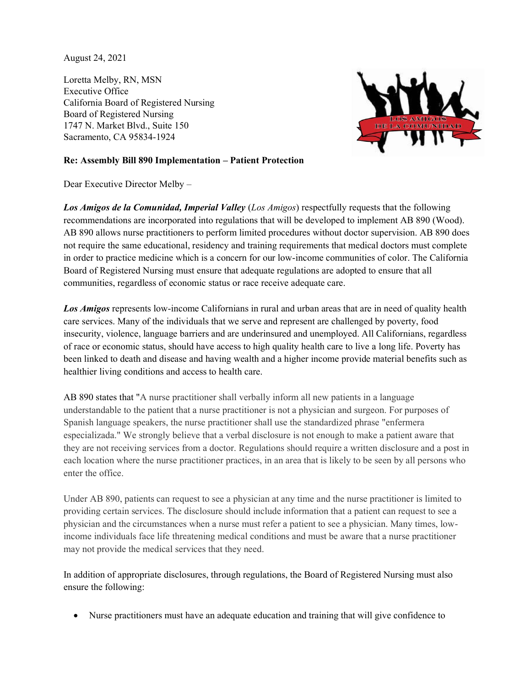August 24, 2021

Loretta Melby, RN, MSN Executive Office California Board of Registered Nursing Board of Registered Nursing 1747 N. Market Blvd., Suite 150 Sacramento, CA 95834-1924



## **Re: Assembly Bill 890 Implementation – Patient Protection**

Dear Executive Director Melby –

*Los Amigos de la Comunidad, Imperial Valley* (*Los Amigos*) respectfully requests that the following recommendations are incorporated into regulations that will be developed to implement AB 890 (Wood). AB 890 allows nurse practitioners to perform limited procedures without doctor supervision. AB 890 does not require the same educational, residency and training requirements that medical doctors must complete in order to practice medicine which is a concern for our low-income communities of color. The California Board of Registered Nursing must ensure that adequate regulations are adopted to ensure that all communities, regardless of economic status or race receive adequate care.

*Los Amigos* represents low-income Californians in rural and urban areas that are in need of quality health care services. Many of the individuals that we serve and represent are challenged by poverty, food insecurity, violence, language barriers and are underinsured and unemployed. All Californians, regardless of race or economic status, should have access to high quality health care to live a long life. Poverty has been linked to death and disease and having wealth and a higher income provide material benefits such as healthier living conditions and access to health care.

AB 890 states that "A nurse practitioner shall verbally inform all new patients in a language understandable to the patient that a nurse practitioner is not a physician and surgeon. For purposes of Spanish language speakers, the nurse practitioner shall use the standardized phrase "enfermera especializada." We strongly believe that a verbal disclosure is not enough to make a patient aware that they are not receiving services from a doctor. Regulations should require a written disclosure and a post in each location where the nurse practitioner practices, in an area that is likely to be seen by all persons who enter the office.

Under AB 890, patients can request to see a physician at any time and the nurse practitioner is limited to providing certain services. The disclosure should include information that a patient can request to see a physician and the circumstances when a nurse must refer a patient to see a physician. Many times, lowincome individuals face life threatening medical conditions and must be aware that a nurse practitioner may not provide the medical services that they need.

In addition of appropriate disclosures, through regulations, the Board of Registered Nursing must also ensure the following:

• Nurse practitioners must have an adequate education and training that will give confidence to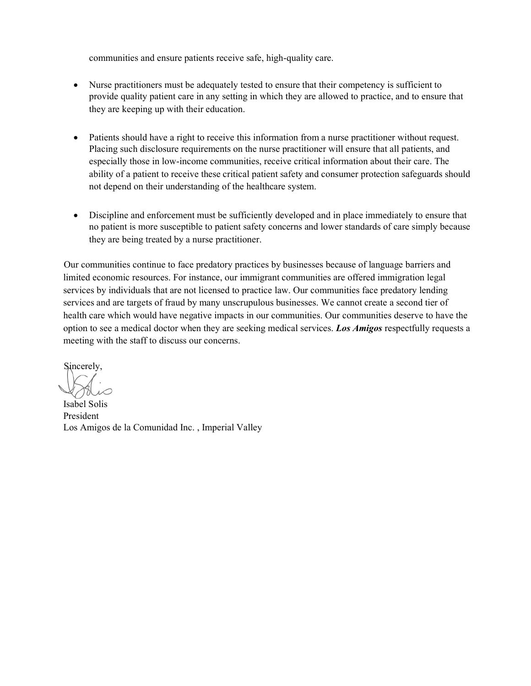communities and ensure patients receive safe, high-quality care.

- Nurse practitioners must be adequately tested to ensure that their competency is sufficient to provide quality patient care in any setting in which they are allowed to practice, and to ensure that they are keeping up with their education.
- Patients should have a right to receive this information from a nurse practitioner without request. Placing such disclosure requirements on the nurse practitioner will ensure that all patients, and especially those in low-income communities, receive critical information about their care. The ability of a patient to receive these critical patient safety and consumer protection safeguards should not depend on their understanding of the healthcare system.
- Discipline and enforcement must be sufficiently developed and in place immediately to ensure that no patient is more susceptible to patient safety concerns and lower standards of care simply because they are being treated by a nurse practitioner.

Our communities continue to face predatory practices by businesses because of language barriers and limited economic resources. For instance, our immigrant communities are offered immigration legal services by individuals that are not licensed to practice law. Our communities face predatory lending services and are targets of fraud by many unscrupulous businesses. We cannot create a second tier of health care which would have negative impacts in our communities. Our communities deserve to have the option to see a medical doctor when they are seeking medical services. *Los Amigos* respectfully requests a meeting with the staff to discuss our concerns.

Sincerely,

Isabel Solis President Los Amigos de la Comunidad Inc. , Imperial Valley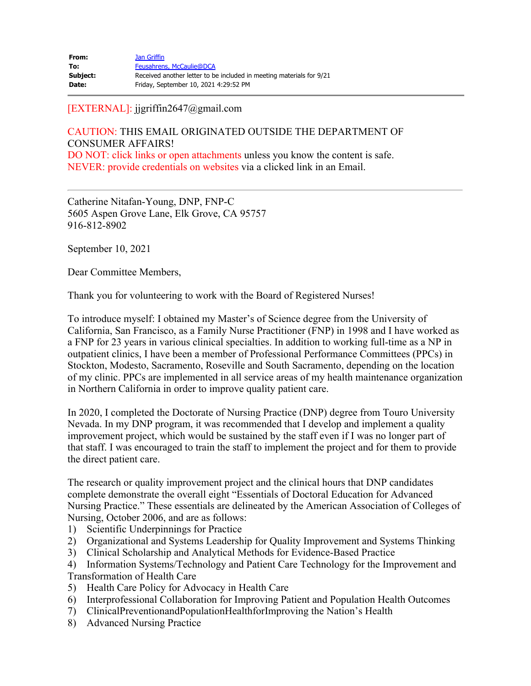| From:    | Jan Griffin                                                          |
|----------|----------------------------------------------------------------------|
| To:      | Feusahrens, McCaulie@DCA                                             |
| Subject: | Received another letter to be included in meeting materials for 9/21 |
| Date:    | Friday, September 10, 2021 4:29:52 PM                                |

### [EXTERNAL]: [jjgriffin2647@gmail.com](mailto:jjgriffin2647@gmail.com)

CAUTION: THIS EMAIL ORIGINATED OUTSIDE THE DEPARTMENT OF CONSUMER AFFAIRS! DO NOT: click links or open attachments unless you know the content is safe. NEVER: provide credentials on websites via a clicked link in an Email.

Catherine Nitafan-Young, DNP, FNP-C 5605 Aspen Grove Lane, Elk Grove, CA 95757 916-812-8902

September 10, 2021

Dear Committee Members,

Thank you for volunteering to work with the Board of Registered Nurses!

To introduce myself: I obtained my Master's of Science degree from the University of California, San Francisco, as a Family Nurse Practitioner (FNP) in 1998 and I have worked as a FNP for 23 years in various clinical specialties. In addition to working full-time as a NP in outpatient clinics, I have been a member of Professional Performance Committees (PPCs) in Stockton, Modesto, Sacramento, Roseville and South Sacramento, depending on the location of my clinic. PPCs are implemented in all service areas of my health maintenance organization in Northern California in order to improve quality patient care.

In 2020, I completed the Doctorate of Nursing Practice (DNP) degree from Touro University Nevada. In my DNP program, it was recommended that I develop and implement a quality improvement project, which would be sustained by the staff even if I was no longer part of that staff. I was encouraged to train the staff to implement the project and for them to provide the direct patient care.

The research or quality improvement project and the clinical hours that DNP candidates complete demonstrate the overall eight "Essentials of Doctoral Education for Advanced Nursing Practice." These essentials are delineated by the American Association of Colleges of Nursing, October 2006, and are as follows:

- 1) Scientific Underpinnings for Practice
- 2) Organizational and Systems Leadership for Quality Improvement and Systems Thinking
- 3) Clinical Scholarship and Analytical Methods for Evidence-Based Practice

4) Information Systems/Technology and Patient Care Technology for the Improvement and Transformation of Health Care

- 5) Health Care Policy for Advocacy in Health Care
- 6) Interprofessional Collaboration for Improving Patient and Population Health Outcomes
- 7) ClinicalPreventionandPopulationHealthforImproving the Nation's Health
- 8) Advanced Nursing Practice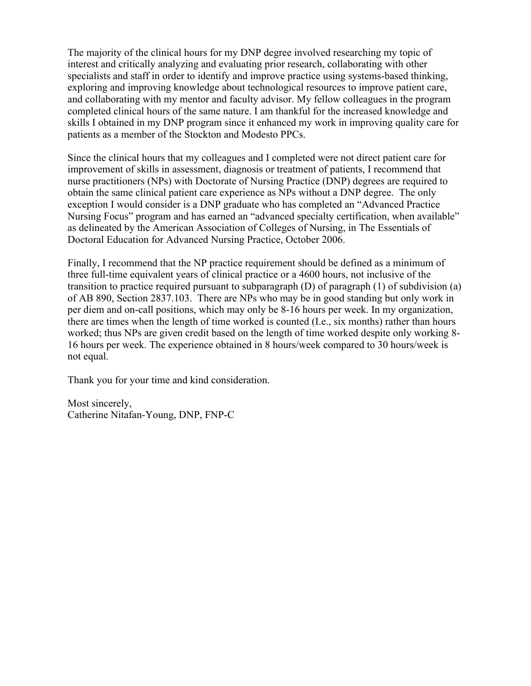The majority of the clinical hours for my DNP degree involved researching my topic of interest and critically analyzing and evaluating prior research, collaborating with other specialists and staff in order to identify and improve practice using systems-based thinking, exploring and improving knowledge about technological resources to improve patient care, and collaborating with my mentor and faculty advisor. My fellow colleagues in the program completed clinical hours of the same nature. I am thankful for the increased knowledge and skills I obtained in my DNP program since it enhanced my work in improving quality care for patients as a member of the Stockton and Modesto PPCs.

Since the clinical hours that my colleagues and I completed were not direct patient care for improvement of skills in assessment, diagnosis or treatment of patients, I recommend that nurse practitioners (NPs) with Doctorate of Nursing Practice (DNP) degrees are required to obtain the same clinical patient care experience as NPs without a DNP degree. The only exception I would consider is a DNP graduate who has completed an "Advanced Practice Nursing Focus" program and has earned an "advanced specialty certification, when available" as delineated by the American Association of Colleges of Nursing, in The Essentials of Doctoral Education for Advanced Nursing Practice, October 2006.

Finally, I recommend that the NP practice requirement should be defined as a minimum of three full-time equivalent years of clinical practice or a 4600 hours, not inclusive of the transition to practice required pursuant to subparagraph (D) of paragraph (1) of subdivision (a) of AB 890, Section 2837.103. There are NPs who may be in good standing but only work in per diem and on-call positions, which may only be 8-16 hours per week. In my organization, there are times when the length of time worked is counted (I.e., six months) rather than hours worked; thus NPs are given credit based on the length of time worked despite only working 8- 16 hours per week. The experience obtained in 8 hours/week compared to 30 hours/week is not equal.

Thank you for your time and kind consideration.

Most sincerely, Catherine Nitafan-Young, DNP, FNP-C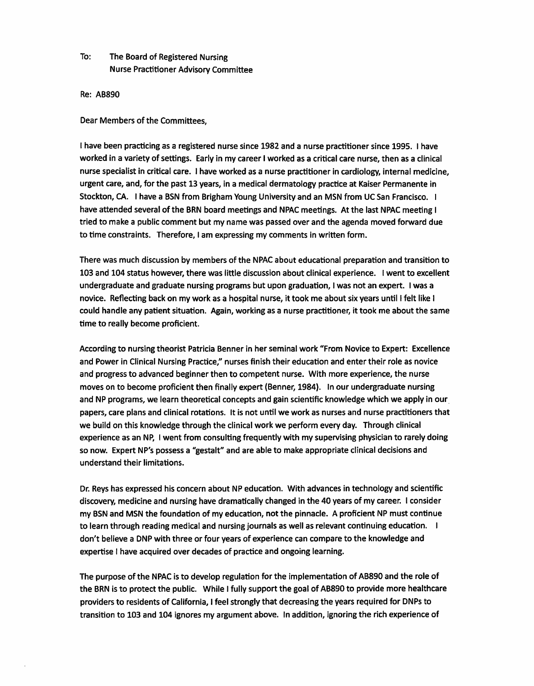# To: The Board of Registered Nursing Nurse Practitioner Advisory Committee

Re: AB890

Dear Members of the Committees,

I have been practicing as a registered nurse since 1982 and a nurse practitioner since 1995. I have worked in a variety of settings. Early in my career I worked as a critical care nurse, then as a clinical nurse specialist in critical care. I have worked as a nurse practitioner in cardiology, internal medicine, urgent care, and, for the past 13 years, in a medical dermatology practice at Kaiser Permanente in Stockton, CA. I have a BSN from Brigham Young University and an MSN from UC San Francisco. I have attended several of the BRN board meetings and NPAC meetings. At the last NPAC meeting I tried to make a public comment but my name was passed over and the agenda moved forward due to time constraints. Therefore, I am expressing my comments in written form.

There was much discussion by members of the NPAC about educational preparation and transition to 103 and 104 status however, there was little discussion about clinical experience. I went to excellent undergraduate and graduate nursing programs but upon graduation, I was not an expert. I was a novice. Reflecting back on my work as a hospital nurse, it took me about six years until I felt like I could handle any patient situation. Again, working as a nurse practitioner, it took me about the same time to really become proficient.

According to nursing theorist Patricia Benner in her seminal work "From Novice to Expert: Excellence and Power in Clinical Nursing Practice," nurses finish their education and enter their role as novice and progress to advanced beginner then to competent nurse. With more experience, the nurse moves on to become proficient then finally expert (Benner, 1984). In our undergraduate nursing and NP programs, we learn theoretical concepts and gain scientific knowledge which we apply in our\_ papers, care plans and clinical rotations. It is not until we work as nurses and nurse practitioners that we build on this knowledge through the clinical work we perform every day. Through clinical experience as an NP, I went from consulting frequently with my supervising physician to rarely doing so now. Expert NP's possess a "gestalt" and are able to make appropriate clinical decisions and understand their limitations.

Dr. Reys has expressed his concern about NP education. With advances in technology and scientific discovery, medicine and nursing have dramatically changed in the 40 years of my career. I consider my BSN and MSN the foundation of my education, not the pinnacle. A proficient NP must continue to learn through reading medical and nursing journals as well as relevant continuing education. I don't believe a DNP with three or four years of experience can compare to the knowledge and expertise I have acquired over decades of practice and ongoing learning.

The purpose of the NPAC is to develop regulation for the implementation of AB890 and the role of the BRN is to protect the public. While I fully support the goal of AB890 to provide more healthcare providers to residents of California, I feel strongly that decreasing the years required for DNPs to transition to 103 and 104 ignores my argument above. In addition, ignoring the rich experience of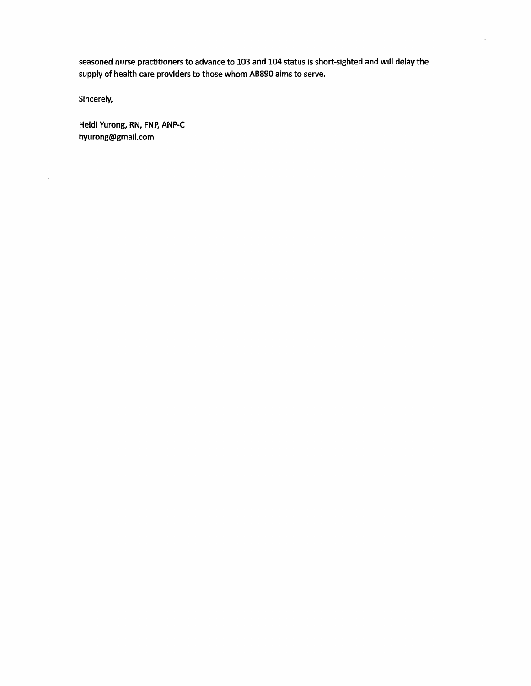seasoned nurse practitioners to advance to 103 and 104 status is short-sighted and will delay the supply of health care providers to those whom AB890 aims to serve.

Sincerely,

Heidi Yurong, RN, FNP, ANP-C [hyurong@gmail.com](mailto:hyurong@gmail.com)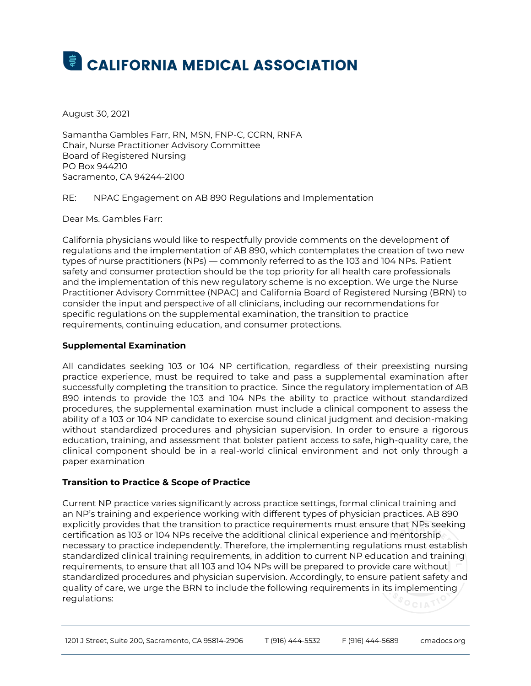# **E CALIFORNIA MEDICAL ASSOCIATION**

August 30, 2021

Samantha Gambles Farr, RN, MSN, FNP-C, CCRN, RNFA Chair, Nurse Practitioner Advisory Committee Board of Registered Nursing PO Box 944210 Sacramento, CA 94244-2100

RE: NPAC Engagement on AB 890 Regulations and Implementation

Dear Ms. Gambles Farr:

California physicians would like to respectfully provide comments on the development of regulations and the implementation of AB 890, which contemplates the creation of two new types of nurse practitioners (NPs) — commonly referred to as the 103 and 104 NPs. Patient safety and consumer protection should be the top priority for all health care professionals and the implementation of this new regulatory scheme is no exception. We urge the Nurse Practitioner Advisory Committee (NPAC) and California Board of Registered Nursing (BRN) to consider the input and perspective of all clinicians, including our recommendations for specific regulations on the supplemental examination, the transition to practice requirements, continuing education, and consumer protections.

#### **Supplemental Examination**

All candidates seeking 103 or 104 NP certification, regardless of their preexisting nursing practice experience, must be required to take and pass a supplemental examination after successfully completing the transition to practice. Since the regulatory implementation of AB 890 intends to provide the 103 and 104 NPs the ability to practice without standardized procedures, the supplemental examination must include a clinical component to assess the ability of a 103 or 104 NP candidate to exercise sound clinical judgment and decision-making without standardized procedures and physician supervision. In order to ensure a rigorous education, training, and assessment that bolster patient access to safe, high-quality care, the clinical component should be in a real-world clinical environment and not only through a paper examination

#### **Transition to Practice & Scope of Practice**

Current NP practice varies significantly across practice settings, formal clinical training and an NP's training and experience working with different types of physician practices. AB 890 explicitly provides that the transition to practice requirements must ensure that NPs seeking certification as 103 or 104 NPs receive the additional clinical experience and mentorship necessary to practice independently. Therefore, the implementing regulations must establish standardized clinical training requirements, in addition to current NP education and training requirements, to ensure that all 103 and 104 NPs will be prepared to provide care without standardized procedures and physician supervision. Accordingly, to ensure patient safety and quality of care, we urge the BRN to include the following requirements in its implementing regulations: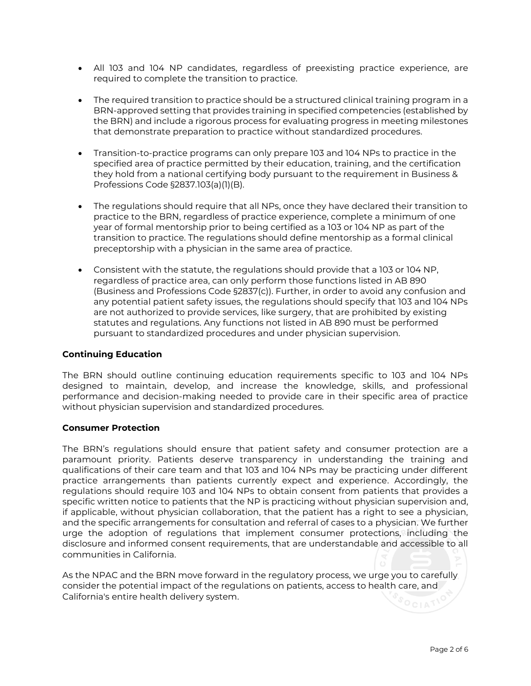- All 103 and 104 NP candidates, regardless of preexisting practice experience, are required to complete the transition to practice.
- The required transition to practice should be a structured clinical training program in a BRN-approved setting that provides training in specified competencies (established by the BRN) and include a rigorous process for evaluating progress in meeting milestones that demonstrate preparation to practice without standardized procedures.
- Transition-to-practice programs can only prepare 103 and 104 NPs to practice in the specified area of practice permitted by their education, training, and the certification they hold from a national certifying body pursuant to the requirement in Business & Professions Code §2837.103(a)(1)(B).
- The regulations should require that all NPs, once they have declared their transition to practice to the BRN, regardless of practice experience, complete a minimum of one year of formal mentorship prior to being certified as a 103 or 104 NP as part of the transition to practice. The regulations should define mentorship as a formal clinical preceptorship with a physician in the same area of practice.
- Consistent with the statute, the regulations should provide that a 103 or 104 NP, regardless of practice area, can only perform those functions listed in AB 890 (Business and Professions Code §2837(c)). Further, in order to avoid any confusion and any potential patient safety issues, the regulations should specify that 103 and 104 NPs are not authorized to provide services, like surgery, that are prohibited by existing statutes and regulations. Any functions not listed in AB 890 must be performed pursuant to standardized procedures and under physician supervision.

#### **Continuing Education**

The BRN should outline continuing education requirements specific to 103 and 104 NPs designed to maintain, develop, and increase the knowledge, skills, and professional performance and decision-making needed to provide care in their specific area of practice without physician supervision and standardized procedures.

#### **Consumer Protection**

The BRN's regulations should ensure that patient safety and consumer protection are a paramount priority. Patients deserve transparency in understanding the training and qualifications of their care team and that 103 and 104 NPs may be practicing under different practice arrangements than patients currently expect and experience. Accordingly, the regulations should require 103 and 104 NPs to obtain consent from patients that provides a specific written notice to patients that the NP is practicing without physician supervision and, if applicable, without physician collaboration, that the patient has a right to see a physician, and the specific arrangements for consultation and referral of cases to a physician. We further urge the adoption of regulations that implement consumer protections, including the disclosure and informed consent requirements, that are understandable and accessible to all communities in California.

As the NPAC and the BRN move forward in the regulatory process, we urge you to carefully consider the potential impact of the regulations on patients, access to health care, and California's entire health delivery system.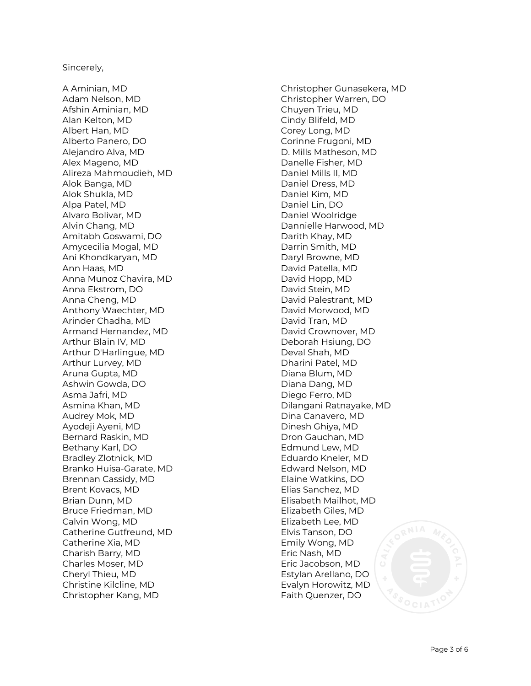#### Sincerely,

A Aminian, MD Adam Nelson, MD Afshin Aminian, MD Alan Kelton, MD Albert Han, MD Alberto Panero, DO Alejandro Alva, MD Alex Mageno, MD Alireza Mahmoudieh, MD Alok Banga, MD Alok Shukla, MD Alpa Patel, MD Alvaro Bolivar, MD Alvin Chang, MD Amitabh Goswami, DO Amycecilia Mogal, MD Ani Khondkaryan, MD Ann Haas, MD Anna Munoz Chavira, MD Anna Ekstrom, DO Anna Cheng, MD Anthony Waechter, MD Arinder Chadha, MD Armand Hernandez, MD Arthur Blain IV, MD Arthur D'Harlingue, MD Arthur Lurvey, MD Aruna Gupta, MD Ashwin Gowda, DO Asma Jafri, MD Asmina Khan, MD Audrey Mok, MD Ayodeji Ayeni, MD Bernard Raskin, MD Bethany Karl, DO Bradley Zlotnick, MD Branko Huisa -Garate, MD Brennan Cassidy, MD Brent Kovacs, MD Brian Dunn, MD Bruce Friedman, MD Calvin Wong, MD Catherine Gutfreund, MD Catherine Xia, MD Charish Barry, MD Charles Moser, MD Cheryl Thieu, MD Christine Kilcline, MD Christopher Kang, MD

Christopher Gunasekera, MD Christopher Warren, DO Chuyen Trieu, MD Cindy Blifeld, MD Corey Long, MD Corinne Frugoni, MD D. Mills Matheson, MD Danelle Fisher, MD Daniel Mills II, MD Daniel Dress, MD Daniel Kim, MD Daniel Lin, DO Daniel Woolridge Dannielle Harwood, MD Darith Khay, MD Darrin Smith, MD Daryl Browne, MD David Patella, MD David Hopp, MD David Stein, MD David Palestrant, MD David Morwood, MD David Tran, MD David Crownover, MD Deborah Hsiung, DO Deval Shah, MD Dharini Patel, MD Diana Blum, MD Diana Dang, MD Diego Ferro, MD Dilangani Ratnayake, MD Dina Canavero, MD Dinesh Ghiya, MD Dron Gauchan, MD Edmund Lew, MD Eduardo Kneler, MD Edward Nelson, MD Elaine Watkins, DO Elias Sanchez, MD Elisabeth Mailhot, MD Elizabeth Giles, MD Elizabeth Lee, MD Elvis Tanson, DO Emily Wong, MD Eric Nash, MD Eric Jacobson, MD Estylan Arellano, DO Evalyn Horowitz, MD Faith Quenzer, DO

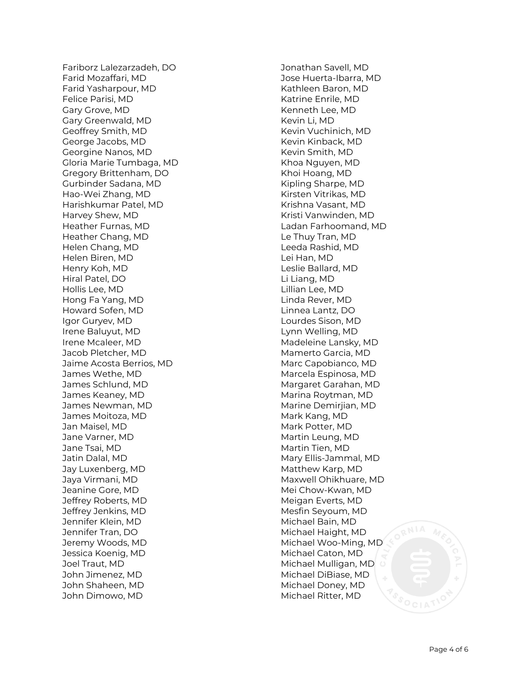Fariborz Lalezarzadeh, DO Farid Mozaffari, MD Farid Yasharpour, MD Felice Parisi, MD Gary Grove, MD Gary Greenwald, MD Geoffrey Smith, MD George Jacobs, MD Georgine Nanos, MD Gloria Marie Tumbaga, MD Gregory Brittenham, DO Gurbinder Sadana, MD Hao -Wei Zhang, MD Harishkumar Patel, MD Harvey Shew, MD Heather Furnas, MD Heather Chang, MD Helen Chang, MD Helen Biren, MD Henry Koh, MD Hiral Patel, DO Hollis Lee, MD Hong Fa Yang, MD Howard Sofen, MD Igor Guryev, MD Irene Baluyut, MD Irene Mcaleer, MD Jacob Pletcher, MD Jaime Acosta Berrios, MD James Wethe, MD James Schlund, MD James Keaney, MD James Newman, MD James Moitoza, MD Jan Maisel, MD Jane Varner, MD Jane Tsai, MD Jatin Dalal, MD Jay Luxenberg, MD Jaya Virmani, MD Jeanine Gore, MD Jeffrey Roberts, MD Jeffrey Jenkins, MD Jennifer Klein, MD Jennifer Tran, DO Jeremy Woods, MD Jessica Koenig, MD Joel Traut, MD John Jimenez, MD John Shaheen, MD John Dimowo, MD

Jonathan Savell, MD Jose Huerta -Ibarra, MD Kathleen Baron, MD Katrine Enrile, MD Kenneth Lee, MD Kevin Li, MD Kevin Vuchinich, MD Kevin Kinback, MD Kevin Smith, MD Khoa Nguyen, MD Khoi Hoang, MD Kipling Sharpe, MD Kirsten Vitrikas, MD Krishna Vasant, MD Kristi Vanwinden, MD Ladan Farhoomand, MD Le Thuy Tran, MD Leeda Rashid, MD Lei Han, MD Leslie Ballard, MD Li Liang, MD Lillian Lee, MD Linda Rever, MD Linnea Lantz, DO Lourdes Sison, MD Lynn Welling, MD Madeleine Lansky, MD Mamerto Garcia, MD Marc Capobianco, MD Marcela Espinosa, MD Margaret Garahan, MD Marina Roytman, MD Marine Demirjian, MD Mark Kang, MD Mark Potter, MD Martin Leung, MD Martin Tien, MD Mary Ellis -Jammal, MD Matthew Karp, MD Maxwell Ohikhuare, MD Mei Chow -Kwan, MD Meigan Everts, MD Mesfin Seyoum, MD Michael Bain, MD Michael Haight, MD Michael Woo -Ming, MD Michael Caton, MD Michael Mulligan, MD Michael DiBiase, MD Michael Doney, MD Michael Ritter, MD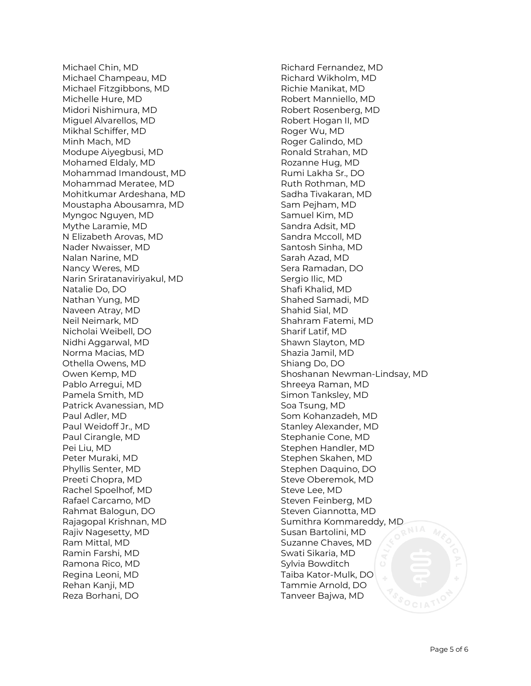Michael Chin, MD Michael Champeau, MD Michael Fitzgibbons, MD Michelle Hure, MD Midori Nishimura, MD Miguel Alvarellos, MD Mikhal Schiffer, MD Minh Mach, MD Modupe Aiyegbusi, MD Mohamed Eldaly, MD Mohammad Imandoust, MD Mohammad Meratee, MD Mohitkumar Ardeshana, MD Moustapha Abousamra, MD Myngoc Nguyen, MD Mythe Laramie, MD N Elizabeth Arovas, MD Nader Nwaisser, MD Nalan Narine, MD Nancy Weres, MD Narin Sriratanaviriyakul, MD Natalie Do, DO Nathan Yung, MD Naveen Atray, MD Neil Neimark, MD Nicholai Weibell, DO Nidhi Aggarwal, MD Norma Macias, MD Othella Owens, MD Owen Kemp, MD Pablo Arregui, MD Pamela Smith, MD Patrick Avanessian, MD Paul Adler, MD Paul Weidoff Jr., MD Paul Cirangle, MD Pei Liu, MD Peter Muraki, MD Phyllis Senter, MD Preeti Chopra, MD Rachel Spoelhof, MD Rafael Carcamo, MD Rahmat Balogun, DO Rajagopal Krishnan, MD Rajiv Nagesetty, MD Ram Mittal, MD Ramin Farshi, MD Ramona Rico, MD Regina Leoni, MD Rehan Kanji, MD Reza Borhani, DO

Richard Fernandez, MD Richard Wikholm, MD Richie Manikat, MD Robert Manniello, MD Robert Rosenberg, MD Robert Hogan II, MD Roger Wu, MD Roger Galindo, MD Ronald Strahan, MD Rozanne Hug, MD Rumi Lakha Sr., DO Ruth Rothman, MD Sadha Tivakaran, MD Sam Pejham, MD Samuel Kim, MD Sandra Adsit, MD Sandra Mccoll, MD Santosh Sinha, MD Sarah Azad, MD Sera Ramadan, DO Sergio Ilic, MD Shafi Khalid, MD Shahed Samadi, MD Shahid Sial, MD Shahram Fatemi, MD Sharif Latif, MD Shawn Slayton, MD Shazia Jamil, MD Shiang Do, DO Shoshanan Newman-Lindsay, MD Shreeya Raman, MD Simon Tanksley, MD Soa Tsung, MD Som Kohanzadeh, MD Stanley Alexander, MD Stephanie Cone, MD Stephen Handler, MD Stephen Skahen, MD Stephen Daquino, DO Steve Oberemok, MD Steve Lee, MD Steven Feinberg, MD Steven Giannotta, MD Sumithra Kommareddy, MD Susan Bartolini, MD Suzanne Chaves, MD Swati Sikaria, MD Sylvia Bowditch Taiba Kator-Mulk, DO Tammie Arnold, DO Tanveer Bajwa, MD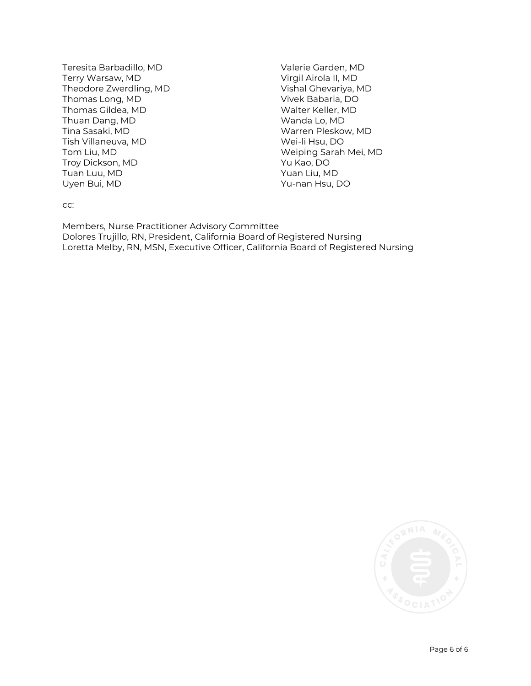Teresita Barbadillo, MD Terry Warsaw, MD Theodore Zwerdling, MD Thomas Long, MD Thomas Gildea, MD Thuan Dang, MD Tina Sasaki, MD Tish Villaneuva, MD Tom Liu, MD Troy Dickson, MD Tuan Luu, MD Uyen Bui, MD

Valerie Garden, MD Virgil Airola II, MD Vishal Ghevariya, MD Vivek Babaria, DO Walter Keller, MD Wanda Lo, MD Warren Pleskow, MD Wei-li Hsu, DO Weiping Sarah Mei, MD Yu Kao, DO Yuan Liu, MD Yu-nan Hsu, DO

cc:

Members, Nurse Practitioner Advisory Committee Dolores Trujillo, RN, President, California Board of Registered Nursing Loretta Melby, RN, MSN, Executive Officer, California Board of Registered Nursing

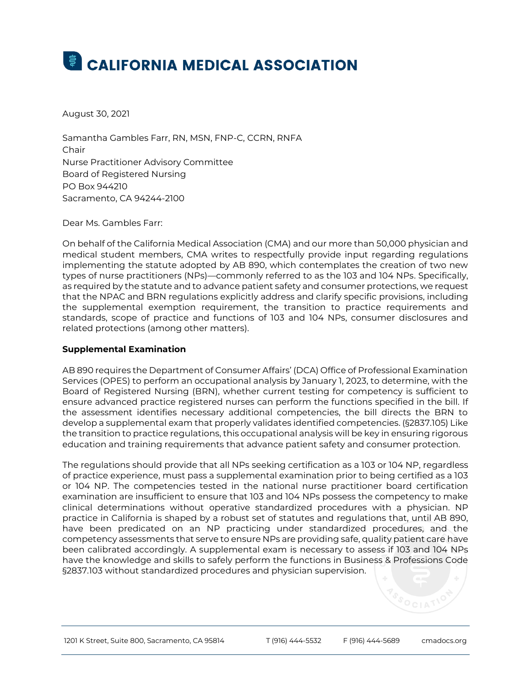# **E** CALIFORNIA MEDICAL ASSOCIATION

August 30, 2021

Samantha Gambles Farr, RN, MSN, FNP-C, CCRN, RNFA Chair Nurse Practitioner Advisory Committee Board of Registered Nursing PO Box 944210 Sacramento, CA 94244-2100

Dear Ms. Gambles Farr:

On behalf of the California Medical Association (CMA) and our more than 50,000 physician and medical student members, CMA writes to respectfully provide input regarding regulations implementing the statute adopted by AB 890, which contemplates the creation of two new types of nurse practitioners (NPs)—commonly referred to as the 103 and 104 NPs. Specifically, as required by the statute and to advance patient safety and consumer protections, we request that the NPAC and BRN regulations explicitly address and clarify specific provisions, including the supplemental exemption requirement, the transition to practice requirements and standards, scope of practice and functions of 103 and 104 NPs, consumer disclosures and related protections (among other matters).

#### **Supplemental Examination**

 AB 890 requires the Department of Consumer Affairs' (DCA) Office of Professional Examination Services (OPES) to perform an occupational analysis by January 1, 2023, to determine, with the Board of Registered Nursing (BRN), whether current testing for competency is sufficient to ensure advanced practice registered nurses can perform the functions specified in the bill. If the assessment identifies necessary additional competencies, the bill directs the BRN to develop a supplemental exam that properly validates identified competencies. (§2837.105) Like the transition to practice regulations, this occupational analysis will be key in ensuring rigorous education and training requirements that advance patient safety and consumer protection.

The regulations should provide that all NPs seeking certification as a 103 or 104 NP, regardless of practice experience, must pass a supplemental examination prior to being certified as a 103 or 104 NP. The competencies tested in the national nurse practitioner board certification examination are insufficient to ensure that 103 and 104 NPs possess the competency to make clinical determinations without operative standardized procedures with a physician. NP practice in California is shaped by a robust set of statutes and regulations that, until AB 890, have been predicated on an NP practicing under standardized procedures, and the competency assessments that serve to ensure NPs are providing safe, quality patient care have been calibrated accordingly. A supplemental exam is necessary to assess if 103 and 104 NPs have the knowledge and skills to safely perform the functions in Business & Professions Code §2837.103 without standardized procedures and physician supervision.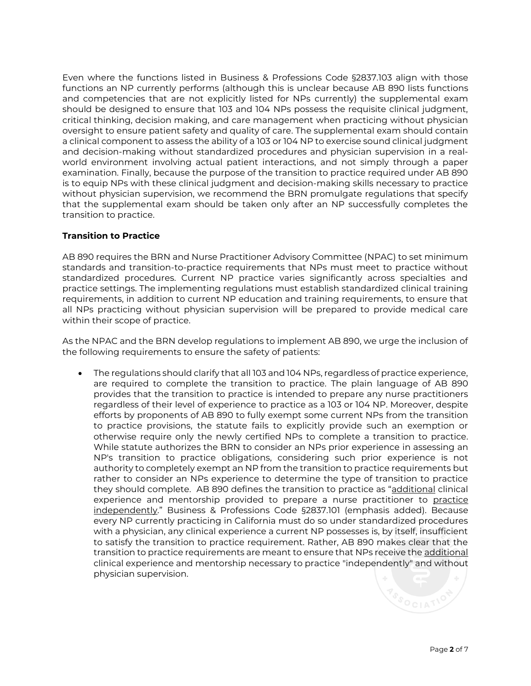Even where the functions listed in Business & Professions Code §2837.103 align with those functions an NP currently performs (although this is unclear because AB 890 lists functions and competencies that are not explicitly listed for NPs currently) the supplemental exam should be designed to ensure that 103 and 104 NPs possess the requisite clinical judgment, critical thinking, decision making, and care management when practicing without physician oversight to ensure patient safety and quality of care. The supplemental exam should contain a clinical component to assess the ability of a 103 or 104 NP to exercise sound clinical judgment and decision-making without standardized procedures and physician supervision in a realworld environment involving actual patient interactions, and not simply through a paper examination. Finally, because the purpose of the transition to practice required under AB 890 is to equip NPs with these clinical judgment and decision-making skills necessary to practice without physician supervision, we recommend the BRN promulgate regulations that specify that the supplemental exam should be taken only after an NP successfully completes the transition to practice.

### **Transition to Practice**

AB 890 requires the BRN and Nurse Practitioner Advisory Committee (NPAC) to set minimum standards and transition-to-practice requirements that NPs must meet to practice without standardized procedures. Current NP practice varies significantly across specialties and practice settings. The implementing regulations must establish standardized clinical training requirements, in addition to current NP education and training requirements, to ensure that all NPs practicing without physician supervision will be prepared to provide medical care within their scope of practice.

As the NPAC and the BRN develop regulations to implement AB 890, we urge the inclusion of the following requirements to ensure the safety of patients:

they should complete. AB 890 defines the transition to practice as "<u>additional</u> clinical • The regulations should clarify that all 103 and 104 NPs, regardless of practice experience, are required to complete the transition to practice. The plain language of AB 890 provides that the transition to practice is intended to prepare any nurse practitioners regardless of their level of experience to practice as a 103 or 104 NP. Moreover, despite efforts by proponents of AB 890 to fully exempt some current NPs from the transition to practice provisions, the statute fails to explicitly provide such an exemption or otherwise require only the newly certified NPs to complete a transition to practice. While statute authorizes the BRN to consider an NPs prior experience in assessing an NP's transition to practice obligations, considering such prior experience is not authority to completely exempt an NP from the transition to practice requirements but rather to consider an NPs experience to determine the type of transition to practice experience and mentorship provided to prepare a nurse practitioner to practice independently." Business & Professions Code §2837.101 (emphasis added). Because every NP currently practicing in California must do so under standardized procedures with a physician, any clinical experience a current NP possesses is, by itself, insufficient to satisfy the transition to practice requirement. Rather, AB 890 makes clear that the transition to practice requirements are meant to ensure that NPs receive the additional clinical experience and mentorship necessary to practice "independently" and without physician supervision.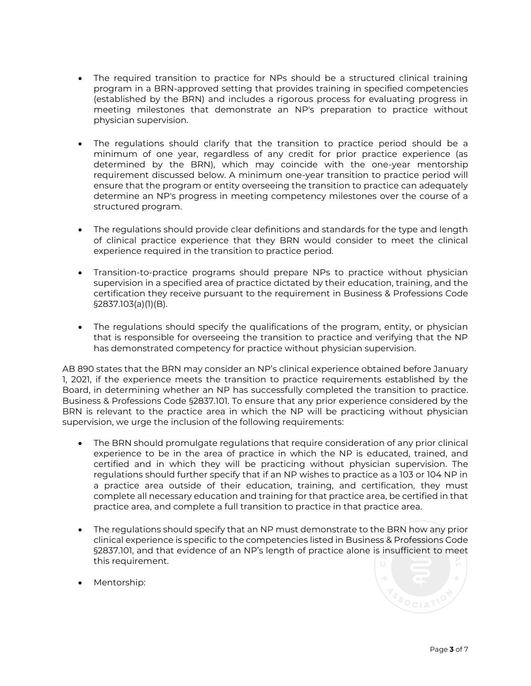- The required transition to practice for NPs should be a structured clinical training program in a BRN-approved setting that provides training in specified competencies (established by the BRN) and includes a rigorous process for evaluating progress in meeting milestones that demonstrate an NP's preparation to practice without physician supervision.
- The regulations should clarify that the transition to practice period should be a minimum of one year, regardless of any credit for prior practice experience (as determined by the BRN), which may coincide with the one-year mentorship requirement discussed below. A minimum one-year transition to practice period will ensure that the program or entity overseeing the transition to practice can adequately determine an NP's progress in meeting competency milestones over the course of a structured program.
- The regulations should provide clear definitions and standards for the type and length of clinical practice experience that they BRN would consider to meet the clinical experience required in the transition to practice period.
- Transition-to-practice programs should prepare NPs to practice without physician supervision in a specified area of practice dictated by their education, training, and the certification they receive pursuant to the requirement in Business & Professions Code §2837.103(a)(1)(B).
- The regulations should specify the qualifications of the program, entity, or physician that is responsible for overseeing the transition to practice and verifying that the NP has demonstrated competency for practice without physician supervision.

 AB 890 states that the BRN may consider an NP's clinical experience obtained before January 1, 2021, if the experience meets the transition to practice requirements established by the Board, in determining whether an NP has successfully completed the transition to practice. Business & Professions Code §2837.101. To ensure that any prior experience considered by the BRN is relevant to the practice area in which the NP will be practicing without physician supervision, we urge the inclusion of the following requirements:

- The BRN should promulgate regulations that require consideration of any prior clinical experience to be in the area of practice in which the NP is educated, trained, and certified and in which they will be practicing without physician supervision. The regulations should further specify that if an NP wishes to practice as a 103 or 104 NP in a practice area outside of their education, training, and certification, they must complete all necessary education and training for that practice area, be certified in that practice area, and complete a full transition to practice in that practice area.
- The regulations should specify that an NP must demonstrate to the BRN how any prior clinical experience is specific to the competencies listed in Business & Professions Code §2837.101, and that evidence of an NP's length of practice alone is insufficient to meet this requirement.
- Mentorship: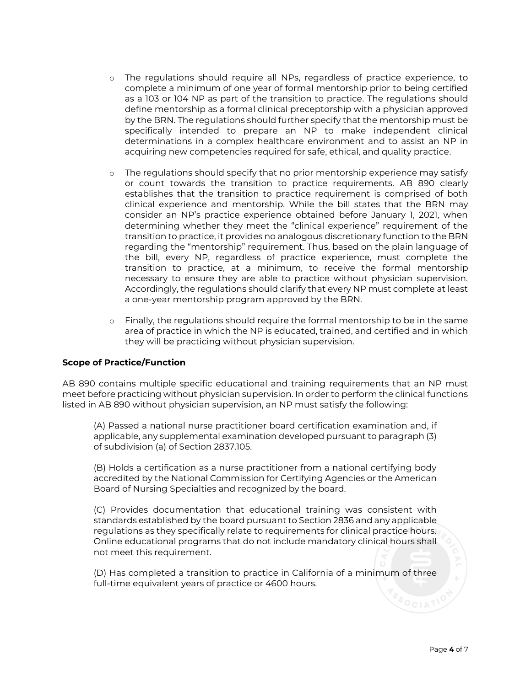- o The regulations should require all NPs, regardless of practice experience, to complete a minimum of one year of formal mentorship prior to being certified as a 103 or 104 NP as part of the transition to practice. The regulations should define mentorship as a formal clinical preceptorship with a physician approved by the BRN. The regulations should further specify that the mentorship must be specifically intended to prepare an NP to make independent clinical determinations in a complex healthcare environment and to assist an NP in acquiring new competencies required for safe, ethical, and quality practice.
- consider an NP's practice experience obtained before January 1, 2021, when determining whether they meet the "clinical experience" requirement of the regarding the "mentorship" requirement. Thus, based on the plain language of o The regulations should specify that no prior mentorship experience may satisfy or count towards the transition to practice requirements. AB 890 clearly establishes that the transition to practice requirement is comprised of both clinical experience and mentorship. While the bill states that the BRN may transition to practice, it provides no analogous discretionary function to the BRN the bill, every NP, regardless of practice experience, must complete the transition to practice, at a minimum, to receive the formal mentorship necessary to ensure they are able to practice without physician supervision. Accordingly, the regulations should clarify that every NP must complete at least a one-year mentorship program approved by the BRN.
- o Finally, the regulations should require the formal mentorship to be in the same area of practice in which the NP is educated, trained, and certified and in which they will be practicing without physician supervision.

#### **Scope of Practice/Function**

AB 890 contains multiple specific educational and training requirements that an NP must meet before practicing without physician supervision. In order to perform the clinical functions listed in AB 890 without physician supervision, an NP must satisfy the following:

(A) Passed a national nurse practitioner board certification examination and, if applicable, any supplemental examination developed pursuant to paragraph (3) of subdivision (a) of Section 2837.105.

(B) Holds a certification as a nurse practitioner from a national certifying body accredited by the National Commission for Certifying Agencies or the American Board of Nursing Specialties and recognized by the board.

(C) Provides documentation that educational training was consistent with standards established by the board pursuant to Section 2836 and any applicable regulations as they specifically relate to requirements for clinical practice hours. Online educational programs that do not include mandatory clinical hours shall not meet this requirement.

(D) Has completed a transition to practice in California of a minimum of three full-time equivalent years of practice or 4600 hours.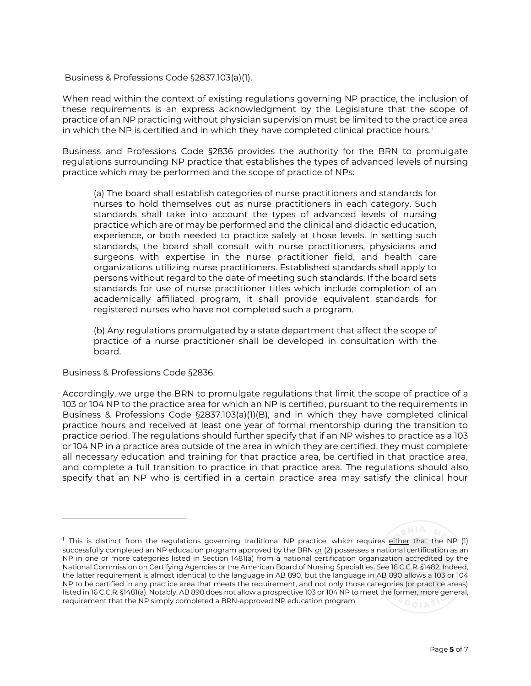#### Business & Professions Code §2837.103(a)(1).

When read within the context of existing regulations governing NP practice, the inclusion of these requirements is an express acknowledgment by the Legislature that the scope of practice of an NP practicing without physician supervision must be limited to the practice area in which the NP is certified and in which they have completed clinical practice hours. 1

Business and Professions Code §2836 provides the authority for the BRN to promulgate regulations surrounding NP practice that establishes the types of advanced levels of nursing practice which may be performed and the scope of practice of NPs:

(a) The board shall establish categories of nurse practitioners and standards for nurses to hold themselves out as nurse practitioners in each category. Such standards shall take into account the types of advanced levels of nursing practice which are or may be performed and the clinical and didactic education, experience, or both needed to practice safely at those levels. In setting such standards, the board shall consult with nurse practitioners, physicians and surgeons with expertise in the nurse practitioner field, and health care organizations utilizing nurse practitioners. Established standards shall apply to persons without regard to the date of meeting such standards. If the board sets standards for use of nurse practitioner titles which include completion of an academically affiliated program, it shall provide equivalent standards for registered nurses who have not completed such a program.

(b) Any regulations promulgated by a state department that affect the scope of practice of a nurse practitioner shall be developed in consultation with the board.

Business & Professions Code §2836.

Accordingly, we urge the BRN to promulgate regulations that limit the scope of practice of a 103 or 104 NP to the practice area for which an NP is certified, pursuant to the requirements in Business & Professions Code §2837.103(a)(1)(B), and in which they have completed clinical practice hours and received at least one year of formal mentorship during the transition to practice period. The regulations should further specify that if an NP wishes to practice as a 103 or 104 NP in a practice area outside of the area in which they are certified, they must complete all necessary education and training for that practice area, be certified in that practice area, and complete a full transition to practice in that practice area. The regulations should also specify that an NP who is certified in a certain practice area may satisfy the clinical hour

<sup>&</sup>lt;sup>1</sup> This is distinct from the regulations governing traditional NP practice, which requires either that the NP (1) successfully completed an NP education program approved by the BRN or (2) possesses a national certification as an NP in one or more categories listed in Section 1481(a) from a national certification organization accredited by the National Commission on Certifying Agencies or the American Board of Nursing Specialties. *See* 16 C.C.R. §1482. Indeed, the latter requirement is almost identical to the language in AB 890, but the language in AB 890 allows a 103 or 104 NP to be certified in any practice area that meets the requirement, and not only those categories (or practice areas) listed in 16 C.C.R. §1481(a). Notably, AB 890 does not allow a prospective 103 or 104 NP to meet the former, more general, requirement that the NP simply completed a BRN-approved NP education program.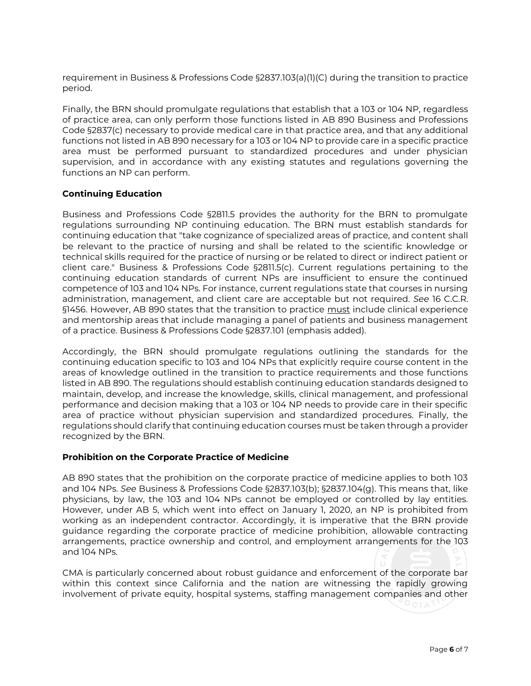requirement in Business & Professions Code §2837.103(a)(1)(C) during the transition to practice period.

Finally, the BRN should promulgate regulations that establish that a 103 or 104 NP, regardless of practice area, can only perform those functions listed in AB 890 Business and Professions Code §2837(c) necessary to provide medical care in that practice area, and that any additional functions not listed in AB 890 necessary for a 103 or 104 NP to provide care in a specific practice area must be performed pursuant to standardized procedures and under physician supervision, and in accordance with any existing statutes and regulations governing the functions an NP can perform.

#### **Continuing Education**

§1456. However, AB 890 states that the transition to practice <u>must</u> include clinical experience and mentorship areas that include managing a panel of patients and business management Business and Professions Code §2811.5 provides the authority for the BRN to promulgate regulations surrounding NP continuing education. The BRN must establish standards for continuing education that "take cognizance of specialized areas of practice, and content shall be relevant to the practice of nursing and shall be related to the scientific knowledge or technical skills required for the practice of nursing or be related to direct or indirect patient or client care." Business & Professions Code §2811.5(c). Current regulations pertaining to the continuing education standards of current NPs are insufficient to ensure the continued competence of 103 and 104 NPs. For instance, current regulations state that courses in nursing administration, management, and client care are acceptable but not required. *See* 16 C.C.R. of a practice. Business & Professions Code §2837.101 (emphasis added).

Accordingly, the BRN should promulgate regulations outlining the standards for the continuing education specific to 103 and 104 NPs that explicitly require course content in the areas of knowledge outlined in the transition to practice requirements and those functions listed in AB 890. The regulations should establish continuing education standards designed to maintain, develop, and increase the knowledge, skills, clinical management, and professional performance and decision making that a 103 or 104 NP needs to provide care in their specific area of practice without physician supervision and standardized procedures. Finally, the regulations should clarify that continuing education courses must be taken through a provider recognized by the BRN.

#### **Prohibition on the Corporate Practice of Medicine**

AB 890 states that the prohibition on the corporate practice of medicine applies to both 103 and 104 NPs. *See* Business & Professions Code §2837.103(b); §2837.104(g). This means that, like physicians, by law, the 103 and 104 NPs cannot be employed or controlled by lay entities. However, under AB 5, which went into effect on January 1, 2020, an NP is prohibited from working as an independent contractor. Accordingly, it is imperative that the BRN provide guidance regarding the corporate practice of medicine prohibition, allowable contracting arrangements, practice ownership and control, and employment arrangements for the 103 and 104 NPs.

CMA is particularly concerned about robust guidance and enforcement of the corporate bar within this context since California and the nation are witnessing the rapidly growing involvement of private equity, hospital systems, staffing management companies and other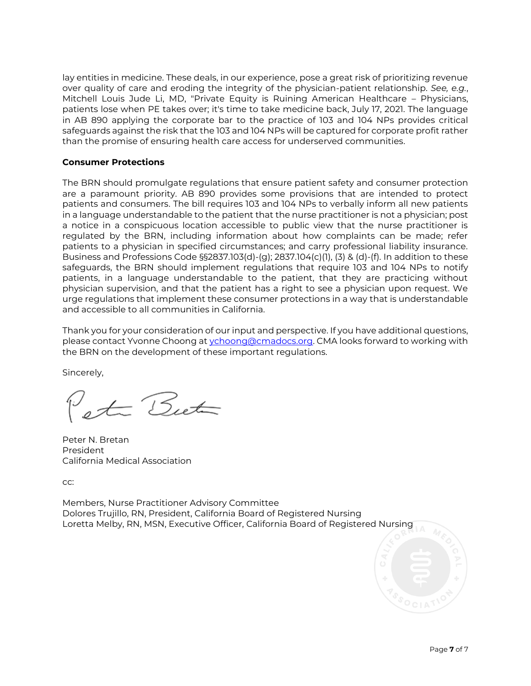lay entities in medicine. These deals, in our experience, pose a great risk of prioritizing revenue over quality of care and eroding the integrity of the physician-patient relationship. *See, e.g.*, Mitchell Louis Jude Li, MD, "Private Equity is Ruining American Healthcare – Physicians, patients lose when PE takes over; it's time to take medicine back, July 17, 2021. The language in AB 890 applying the corporate bar to the practice of 103 and 104 NPs provides critical safeguards against the risk that the 103 and 104 NPs will be captured for corporate profit rather than the promise of ensuring health care access for underserved communities.

#### **Consumer Protections**

The BRN should promulgate regulations that ensure patient safety and consumer protection are a paramount priority. AB 890 provides some provisions that are intended to protect patients and consumers. The bill requires 103 and 104 NPs to verbally inform all new patients in a language understandable to the patient that the nurse practitioner is not a physician; post a notice in a conspicuous location accessible to public view that the nurse practitioner is regulated by the BRN, including information about how complaints can be made; refer patients to a physician in specified circumstances; and carry professional liability insurance. Business and Professions Code §§2837.103(d)-(g); 2837.104(c)(1), (3) & (d)-(f). In addition to these safeguards, the BRN should implement regulations that require 103 and 104 NPs to notify patients, in a language understandable to the patient, that they are practicing without physician supervision, and that the patient has a right to see a physician upon request. We urge regulations that implement these consumer protections in a way that is understandable and accessible to all communities in California.

Thank you for your consideration of our input and perspective. If you have additional questions, please contact Yvonne Choong a[t ychoong@cmadocs.org.](mailto:ychoong@cmadocs.org) CMA looks forward to working with the BRN on the development of these important regulations.

Sincerely,

ta Buta

Peter N. Bretan President California Medical Association

cc:

Loretta Melby, RN, MSN, Executive Officer, California Board of Registered Nursing Members, Nurse Practitioner Advisory Committee Dolores Trujillo, RN, President, California Board of Registered Nursing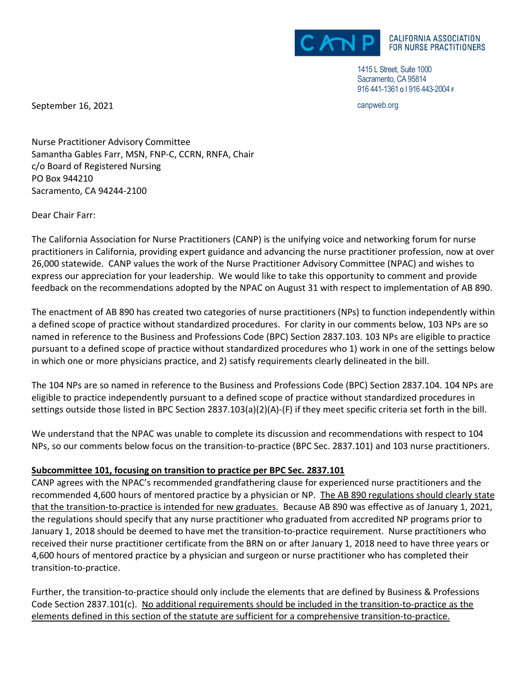

1415 L Street, Suite 1000 Sacramento, CA 95814 916 441-1361 **O** Ι 916 443-2004 **<sup>F</sup>**

September 16, 2021 **canpweb.org** can be a september 16, 2021

Nurse Practitioner Advisory Committee Samantha Gables Farr, MSN, FNP-C, CCRN, RNFA, Chair c/o Board of Registered Nursing PO Box 944210 Sacramento, CA 94244-2100

Dear Chair Farr:

The California Association for Nurse Practitioners (CANP) is the unifying voice and networking forum for nurse practitioners in California, providing expert guidance and advancing the nurse practitioner profession, now at over 26,000 statewide. CANP values the work of the Nurse Practitioner Advisory Committee (NPAC) and wishes to express our appreciation for your leadership. We would like to take this opportunity to comment and provide feedback on the recommendations adopted by the NPAC on August 31 with respect to implementation of AB 890.

The enactment of AB 890 has created two categories of nurse practitioners (NPs) to function independently within a defined scope of practice without standardized procedures. For clarity in our comments below, 103 NPs are so named in reference to the Business and Professions Code (BPC) Section 2837.103. 103 NPs are eligible to practice pursuant to a defined scope of practice without standardized procedures who 1) work in one of the settings below in which one or more physicians practice, and 2) satisfy requirements clearly delineated in the bill.

The 104 NPs are so named in reference to the Business and Professions Code (BPC) Section 2837.104. 104 NPs are eligible to practice independently pursuant to a defined scope of practice without standardized procedures in settings outside those listed in BPC Section 2837.103(a)(2)(A)-(F) if they meet specific criteria set forth in the bill.

We understand that the NPAC was unable to complete its discussion and recommendations with respect to 104 NPs, so our comments below focus on the transition-to-practice (BPC Sec. 2837.101) and 103 nurse practitioners.

## **Subcommittee 101, focusing on transition to practice per BPC Sec. 2837.101**

CANP agrees with the NPAC's recommended grandfathering clause for experienced nurse practitioners and the recommended 4,600 hours of mentored practice by a physician or NP. The AB 890 regulations should clearly state that the transition-to-practice is intended for new graduates. Because AB 890 was effective as of January 1, 2021, the regulations should specify that any nurse practitioner who graduated from accredited NP programs prior to January 1, 2018 should be deemed to have met the transition-to-practice requirement. Nurse practitioners who received their nurse practitioner certificate from the BRN on or after January 1, 2018 need to have three years or 4,600 hours of mentored practice by a physician and surgeon or nurse practitioner who has completed their transition-to-practice.

Further, the transition-to-practice should only include the elements that are defined by Business & Professions Code Section 2837.101(c). No additional requirements should be included in the transition-to-practice as the elements defined in this section of the statute are sufficient for a comprehensive transition-to-practice.